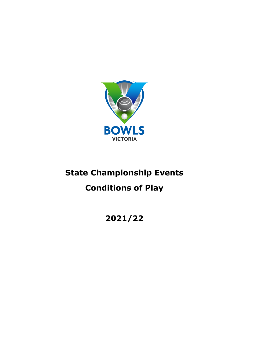

# **State Championship Events**

# **Conditions of Play**

**2021/22**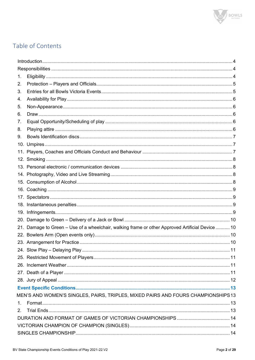

# Table of Contents

| 1.      |                                                                                                  |  |  |
|---------|--------------------------------------------------------------------------------------------------|--|--|
| 2.      |                                                                                                  |  |  |
| 3.      |                                                                                                  |  |  |
| 4.      |                                                                                                  |  |  |
| 5.      |                                                                                                  |  |  |
| 6.      |                                                                                                  |  |  |
| 7.      |                                                                                                  |  |  |
| 8.      |                                                                                                  |  |  |
| 9.      |                                                                                                  |  |  |
|         |                                                                                                  |  |  |
|         |                                                                                                  |  |  |
|         |                                                                                                  |  |  |
|         |                                                                                                  |  |  |
|         |                                                                                                  |  |  |
|         |                                                                                                  |  |  |
|         |                                                                                                  |  |  |
|         |                                                                                                  |  |  |
|         |                                                                                                  |  |  |
|         |                                                                                                  |  |  |
|         |                                                                                                  |  |  |
|         | 21. Damage to Green - Use of a wheelchair, walking frame or other Approved Artificial Device  10 |  |  |
|         |                                                                                                  |  |  |
|         |                                                                                                  |  |  |
|         |                                                                                                  |  |  |
|         |                                                                                                  |  |  |
|         |                                                                                                  |  |  |
|         |                                                                                                  |  |  |
|         |                                                                                                  |  |  |
|         |                                                                                                  |  |  |
|         | MEN'S AND WOMEN'S SINGLES, PAIRS, TRIPLES, MIXED PAIRS AND FOURS CHAMPIONSHIPS13                 |  |  |
| $1_{-}$ |                                                                                                  |  |  |
| 2.      |                                                                                                  |  |  |
|         |                                                                                                  |  |  |
|         |                                                                                                  |  |  |
|         |                                                                                                  |  |  |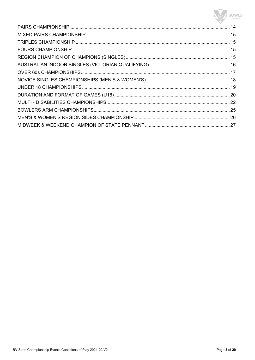# BOWLS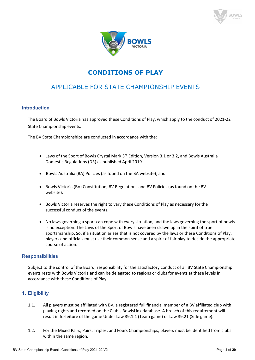



# **CONDITIONS OF PLAY**

# APPLICABLE FOR STATE CHAMPIONSHIP EVENTS

#### **Introduction**

The Board of Bowls Victoria has approved these Conditions of Play, which apply to the conduct of 2021-22 State Championship events.

The BV State Championships are conducted in accordance with the:

- Laws of the Sport of Bowls Crystal Mark  $3<sup>rd</sup>$  Edition, Version 3.1 or 3.2, and Bowls Australia Domestic Regulations (DR) as published April 2019.
- Bowls Australia (BA) Policies (as found on the BA website); and
- Bowls Victoria (BV) Constitution, BV Regulations and BV Policies (as found on the BV website).
- Bowls Victoria reserves the right to vary these Conditions of Play as necessary for the successful conduct of the events.
- No laws governing a sport can cope with every situation, and the laws governing the sport of bowls is no exception. The Laws of the Sport of Bowls have been drawn up in the spirit of true sportsmanship. So, if a situation arises that is not covered by the laws or these Conditions of Play, players and officials must use their common sense and a spirit of fair play to decide the appropriate course of action.

# **Responsibilities**

Subject to the control of the Board, responsibility for the satisfactory conduct of all BV State Championship events rests with Bowls Victoria and can be delegated to regions or clubs for events at these levels in accordance with these Conditions of Play.

# **1. Eligibility**

- 1.1. All players must be affiliated with BV, a registered full financial member of a BV affiliated club with playing rights and recorded on the Club's BowlsLink database. A breach of this requirement will result in forfeiture of the game Under Law 39.1.1 (Team game) or Law 39.21 (Side game).
- 1.2. For the Mixed Pairs, Pairs, Triples, and Fours Championships, players must be identified from clubs within the same region.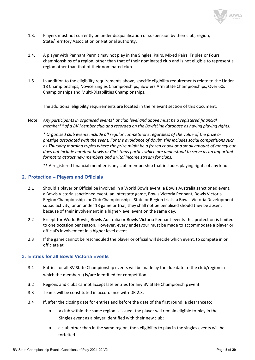

- 1.3. Players must not currently be under disqualification or suspension by their club, region, State/Territory Association or National authority.
- 1.4. A player with Pennant Permit may not play in the Singles, Pairs, Mixed Pairs, Triples or Fours championships of a region, other than that of their nominated club and is not eligible to represent a region other than that of their nominated club.
- 1.5. In addition to the eligibility requirements above, specific eligibility requirements relate to the Under 18 Championships, Novice Singles Championships, Bowlers Arm State Championships, Over 60s Championships and Multi-Disabilities Championships.

The additional eligibility requirements are located in the relevant section of this document.

Note: *Any participants in organised events\* at club level and above must be a registered financial member\*\* of a BV Member club and recorded on the BowlsLink database as having playing rights.*

*\* Organised club events include all regular competitions regardless of the value of the prize or prestige associated with the event. For the avoidance of doubt, this includes social competitions such as Thursday morning triples where the prize might be a frozen chook or a small amount of money but does not include barefoot bowls or Christmas parties which are understood to serve as an important format to attract new members and a vital income stream for clubs.*

\*\* A registered financial member is any club membership that includes playing rights of any kind.

#### **2. Protection – Players and Officials**

- 2.1 Should a player or Official be involved in a World Bowls event, a Bowls Australia sanctioned event, a Bowls Victoria sanctioned event, an interstate game, Bowls Victoria Pennant, Bowls Victoria Region Championships or Club Championships, State or Region trials, a Bowls Victoria Development squad activity, or an under 18 game or trial, they shall not be penalised should they be absent because of their involvement in a higher-level event on the same day.
- 2.2 Except for World Bowls, Bowls Australia or Bowls Victoria Pennant events this protection is limited to one occasion per season. However, every endeavour must be made to accommodate a player or official's involvement in a higher level event.
- 2.3 If the game cannot be rescheduled the player or official will decide which event, to compete in or officiate at.

### **3. Entries for all Bowls Victoria Events**

- 3.1 Entries for all BV State Championship events will be made by the due date to the club/region in which the member(s) is/are identified for competition.
- 3.2 Regions and clubs cannot accept late entries for any BV State Championship event.
- 3.3 Teams will be constituted in accordance with DR 2.3.
- 3.4 If, after the closing date for entries and before the date of the first round, a clearanceto:
	- a club within the same region is issued, the player will remain eligible to play in the Singles event as a player identified with their newclub;
	- a club other than in the same region, then eligibility to play in the singles events will be forfeited.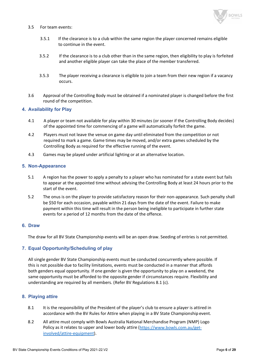

#### 3.5 For team events:

- 3.5.1 If the clearance is to a club within the same region the player concerned remains eligible to continue in the event.
- 3.5.2 If the clearance is to a club other than in the same region, then eligibility to play is forfeited and another eligible player can take the place of the member transferred.
- 3.5.3 The player receiving a clearance is eligible to join a team from their new region if a vacancy occurs.
- 3.6 Approval of the Controlling Body must be obtained if a nominated player is changed before the first round of the competition.

#### **4. Availability for Play**

- 4.1 A player or team not available for play within 30 minutes (or sooner if the Controlling Body decides) of the appointed time for commencing of a game will automatically forfeit the game.
- 4.2 Players must not leave the venue on game day until eliminated from the competition or not required to mark a game. Game times may be moved, and/or extra games scheduled by the Controlling Body as required for the effective running of the event.
- 4.3 Games may be played under artificial lighting or at an alternative location.

#### **5. Non-Appearance**

- 5.1 A region has the power to apply a penalty to a player who has nominated for a state event but fails to appear at the appointed time without advising the Controlling Body at least 24 hours prior to the start of the event.
- 5.2 The onus is on the player to provide satisfactory reason for their non-appearance. Such penalty shall be \$50 for each occasion, payable within 21 days from the date of the event. Failure to make payment within this time will result in the person being ineligible to participate in further state events for a period of 12 months from the date of the offence.

#### **6. Draw**

The draw for all BV State Championship events will be an open draw. Seeding of entries is not permitted.

#### **7. Equal Opportunity/Scheduling of play**

All single gender BV State Championship events must be conducted concurrently where possible. If this is not possible due to facility limitations, events must be conducted in a manner that affords both genders equal opportunity. If one gender is given the opportunity to play on a weekend, the same opportunity must be afforded to the opposite gender if circumstances require. Flexibility and understanding are required by all members. (Refer BV Regulations 8.1 (c).

#### **8. Playing attire**

- 8.1 It is the responsibility of the President of the player's club to ensure a player is attired in accordance with the BV Rules for Attire when playing in a BV State Championship event.
- 8.2 All attire must comply with Bowls Australia National Merchandise Program (NMP) Logo Policy as it relates to upper and lower body attire [\(https://www.bowls.com.au/get](https://www.bowls.com.au/get-involved/attire-equipment)[involved/attire-equipment\)](https://www.bowls.com.au/get-involved/attire-equipment).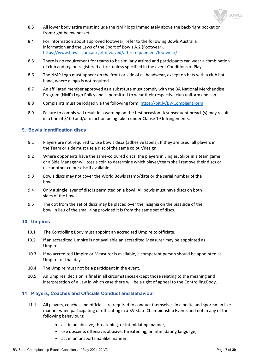

- 8.3 All lower body attire must include the NMP logo immediately above the back-right pocket or front right below pocket.
- 8.4 For information about approved footwear, refer to the following Bowls Australia information and the Laws of the Sport of Bowls A.2 (Footwear). <https://www.bowls.com.au/get-involved/attire-equipment/footwear/>
- 8.5 There is no requirement for teams to be similarly attired and participants can wear a combination of club and region registered attire, unless specified in the event Conditions of Play.
- 8.6 The NMP Logo must appear on the front or side of all headwear, except on hats with a club hat band, where a logo is not required.
- 8.7 An affiliated member approved as a substitute must comply with the BA National Merchandise Program (NMP) Logo Policy and is permitted to wear their respective club uniform and cap.
- 8.8 Complaints must be lodged via the following form:<https://bit.ly/BV-ComplaintForm>
- 8.9 Failure to comply will result in a warning on the first occasion. A subsequent breach(s) may result in a fine of \$100 and/or in action being taken under Clause 19 Infringements.

#### **9. Bowls Identification discs**

- 9.1 Players are not required to use bowls discs (adhesive labels). If they are used, all players in the Team or side must use a disc of the same colour/design.
- 9.2 Where opponents have the same-coloured discs, the players in Singles, Skips in a team game or a Side Manager will toss a coin to determine which player/team shall remove their discs or use another colour disc if available.
- 9.3 Bowls discs may not cover the World Bowls stamp/date or the serial number of the bowl.
- 9.4 Only a single layer of disc is permitted on a bowl. All bowls must have discs on both sides of the bowl.
- 9.5 The dot from the set of discs may be placed over the insignia on the bias side of the bowl in lieu of the small ring provided it is from the same set of discs.

#### **10. Umpires**

- 10.1 The Controlling Body must appoint an accredited Umpire to officiate.
- 10.2 If an accredited Umpire is not available an accredited Measurer may be appointed as Umpire.
- 10.3 If no accredited Umpire or Measurer is available, a competent person should be appointed as Umpire for that day.
- 10.4 The Umpire must not be a participant in the event.
- 10.5 An Umpires' decision is final in all circumstances except those relating to the meaning and interpretation of a Law in which case there will be a right of appeal to the Controlling Body.

#### **11. Players, Coaches and Officials Conduct and Behaviour**

- 11.1 All players, coaches and officials are required to conduct themselves in a polite and sportsman like manner when participating or officiating in a BV State Championship Events and not in any of the following behaviours:
	- act in an abusive, threatening, or intimidating manner;
	- use obscene, offensive, abusive, threatening, or intimidating language;
	- act in an unsportsmanlike manner;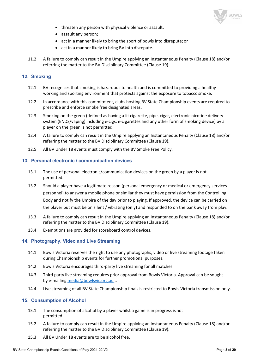

- threaten any person with physical violence or assault;
- assault any person;
- act in a manner likely to bring the sport of bowls into disrepute; or
- act in a manner likely to bring BV into disrepute.
- 11.2 A failure to comply can result in the Umpire applying an Instantaneous Penalty (Clause 18) and/or referring the matter to the BV Disciplinary Committee (Clause 19).

#### **12. Smoking**

- 12.1 BV recognises that smoking is hazardous to health and is committed to providing a healthy working and sporting environment that protects against the exposure to tobacco smoke.
- 12.2 In accordance with this commitment, clubs hosting BV State Championship events are required to prescribe and enforce smoke free designated areas.
- 12.3 Smoking on the green (defined as having a lit cigarette, pipe, cigar, electronic nicotine delivery system (ENDS/vaping) including e-cigs, e-cigarettes and any other form of smoking device) by a player on the green is not permitted.
- 12.4 A failure to comply can result in the Umpire applying an Instantaneous Penalty (Clause 18) and/or referring the matter to the BV Disciplinary Committee (Clause 19).
- 12.5 All BV Under 18 events must comply with the BV Smoke Free Policy.

#### **13. Personal electronic / communication devices**

- 13.1 The use of personal electronic/communication devices on the green by a player is not permitted.
- 13.2 Should a player have a legitimate reason (personal emergency or medical or emergency services personnel) to answer a mobile phone or similar they must have permission from the Controlling Body and notify the Umpire of the day prior to playing. If approved, the device can be carried on the player but must be on silent / vibrating (only) and responded to on the bank away from play.
- 13.3 A failure to comply can result in the Umpire applying an Instantaneous Penalty (Clause 18) and/or referring the matter to the BV Disciplinary Committee (Clause 19).
- 13.4 Exemptions are provided for scoreboard control devices.

#### **14. Photography, Video and Live Streaming**

- 14.1 Bowls Victoria reserves the right to use any photographs, video or live streaming footage taken during Championship events for further promotional purposes.
- 14.2 Bowls Victoria encourages third-party live streaming for all matches.
- 14.3 Third party live streaming requires prior approval from Bowls Victoria. Approval can be sought by e-mailing [media@bowlsvic.org.au](mailto:media@bowlsvic.org.au) ,.
- 14.4 Live streaming of all BV State Championship finals is restricted to Bowls Victoria transmission only.

#### **15. Consumption of Alcohol**

- 15.1 The consumption of alcohol by a player whilst a game is in progress is not permitted.
- 15.2 A failure to comply can result in the Umpire applying an Instantaneous Penalty (Clause 18) and/or referring the matter to the BV Disciplinary Committee (Clause 19).
- 15.3 All BV Under 18 events are to be alcohol free.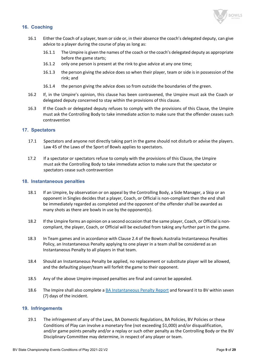

# **16. Coaching**

- 16.1 Either the Coach of a player, team or side or, in their absence the coach's delegated deputy, can give advice to a player during the course of play as long as:
	- 16.1.1 The Umpire is given the names of the coach or the coach's delegated deputy as appropriate before the game starts;
	- 16.1.2 only one person is present at the rink to give advice at any one time;
	- 16.1.3 the person giving the advice does so when their player, team or side is in possession of the rink; and
	- 16.1.4 the person giving the advice does so from outside the boundaries of the green.
- 16.2 If, in the Umpire's opinion, this clause has been contravened, the Umpire must ask the Coach or delegated deputy concerned to stay within the provisions of this clause.
- 16.3 If the Coach or delegated deputy refuses to comply with the provisions of this Clause, the Umpire must ask the Controlling Body to take immediate action to make sure that the offender ceases such contravention

#### **17. Spectators**

- 17.1 Spectators and anyone not directly taking part in the game should not disturb or advise the players. Law 45 of the Laws of the Sport of Bowls applies to spectators.
- 17.2 If a spectator or spectators refuse to comply with the provisions of this Clause, the Umpire must ask the Controlling Body to take immediate action to make sure that the spectator or spectators cease such contravention

#### **18. Instantaneous penalties**

- 18.1 If an Umpire, by observation or on appeal by the Controlling Body, a Side Manager, a Skip or an opponent in Singles decides that a player, Coach, or Official is non-compliant then the end shall be immediately regarded as completed and the opponent of the offender shall be awarded as many shots as there are bowls in use by the opponent(s).
- 18.2 If the Umpire forms an opinion on a second occasion that the same player, Coach, or Official is noncompliant, the player, Coach, or Official will be excluded from taking any further part in the game.
- 18.3 In Team games and in accordance with Clause 2.4 of the Bowls Australia Instantaneous Penalties Policy, an Instantaneous Penalty applying to one player in a team shall be considered as an Instantaneous Penalty to all players in that team.
- 18.4 Should an Instantaneous Penalty be applied, no replacement or substitute player will be allowed, and the defaulting player/team will forfeit the game to their opponent.
- 18.5 Any of the above Umpire-imposed penalties are final and cannot be appealed.
- 18.6 The Impire shall also complete a [BA Instantaneous Penalty Report](https://www.bowls.com.au/wp-content/uploads/2019/08/INSTANTANEOUS-PENALTY-REPORT-2019l-JR.pdf) and forward it to BV within seven (7) days of the incident.

#### **19. Infringements**

19.1 The infringement of any of the Laws, BA Domestic Regulations, BA Policies, BV Policies or these Conditions of Play can involve a monetary fine (not exceeding \$1,000) and/or disqualification, and/or game points penalty and/or a replay or such other penalty as the Controlling Body or the BV Disciplinary Committee may determine, in respect of any player or team.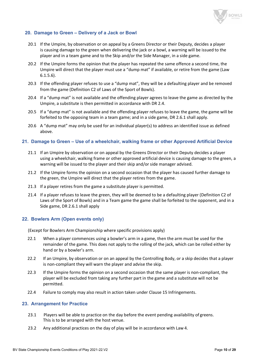

# **20. Damage to Green – Delivery of a Jack or Bowl**

- 20.1 If the Umpire, by observation or on appeal by a Greens Director or their Deputy, decides a player is causing damage to the green when delivering the jack or a bowl, a warning will be issued to the player and in a team game and to the Skip and/or the Side Manager, in a side game.
- 20.2 If the Umpire forms the opinion that the player has repeated the same offence a second time, the Umpire will direct that the player must use a "dump mat" if available, or retire from the game (Law 6.1.5.6).
- 20.3 If the offending player refuses to use a "dump mat", they will be a defaulting player and be removed from the game (Definition C2 of Laws of the Sport of Bowls).
- 20.4 If a "dump mat" is not available and the offending player agrees to leave the game as directed by the Umpire, a substitute is then permitted in accordance with DR 2.4.
- 20.5 If a "dump mat" is not available and the offending player refuses to leave the game, the game will be forfeited to the opposing team in a team game; and in a side game, DR 2.6.1 shall apply.
- 20.6 A "dump mat" may only be used for an individual player(s) to address an identified issue as defined above.

#### **21. Damage to Green – Use of a wheelchair, walking frame or other Approved Artificial Device**

- 21.1 If an Umpire by observation or on appeal by the Greens Director or their Deputy decides a player using a wheelchair, walking frame or other approved artificial device is causing damage to the green, a warning will be issued to the player and their skip and/or side manager advised.
- 21.2 If the Umpire forms the opinion on a second occasion that the player has caused further damage to the green, the Umpire will direct that the player retires from the game.
- 21.3 If a player retires from the game a substitute player is permitted.
- 21.4 If a player refuses to leave the green, they will be deemed to be a defaulting player (Definition C2 of Laws of the Sport of Bowls) and in a Team game the game shall be forfeited to the opponent, and in a Side game, DR 2.6.1 shall apply

#### **22. Bowlers Arm (Open events only)**

(Except for Bowlers Arm Championship where specific provisions apply)

- 22.1 When a player commences using a bowler's arm in a game, then the arm must be used for the remainder of the game. This does not apply to the rolling of the jack, which can be rolled either by hand or by a bowler's arm.
- 22.2 If an Umpire, by observation or on an appeal by the Controlling Body, or a skip decides that a player is non-compliant they will warn the player and advise the skip.
- 22.3 If the Umpire forms the opinion on a second occasion that the same player is non-compliant, the player will be excluded from taking any further part in the game and a substitute will not be permitted.
- 22.4 Failure to comply may also result in action taken under Clause 15 Infringements.

#### **23. Arrangement for Practice**

- 23.1 Players will be able to practice on the day before the event pending availability of greens. This is to be arranged with the host venue.
- 23.2 Any additional practices on the day of play will be in accordance with Law 4.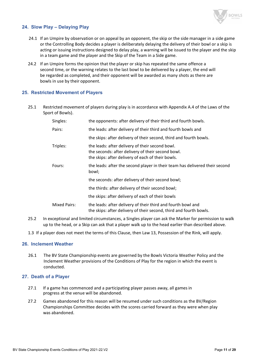

# **24. Slow Play – Delaying Play**

- 24.1 If an Umpire by observation or on appeal by an opponent, the skip or the side manager in a side game or the Controlling Body decides a player is deliberately delaying the delivery of their bowl or a skip is acting or issuing instructions designed to delay play, a warning will be issued to the player and the skip in a team game and the player and the Skip of the Team in a Side game.
- 24.2 If an Umpire forms the opinion that the player or skip has repeated the same offence a second time, or the warning relates to the last bowl to be delivered by a player, the end will be regarded as completed, and their opponent will be awarded as many shots as there are bowls in use by their opponent.

#### **25. Restricted Movement of Players**

25.1 Restricted movement of players during play is in accordance with Appendix A.4 of the Laws of the Sport of Bowls).

| Singles:     | the opponents: after delivery of their third and fourth bowls.                                                                                            |
|--------------|-----------------------------------------------------------------------------------------------------------------------------------------------------------|
| Pairs:       | the leads: after delivery of their third and fourth bowls and                                                                                             |
|              | the skips: after delivery of their second, third and fourth bowls.                                                                                        |
| Triples:     | the leads: after delivery of their second bowl.<br>the seconds: after delivery of their second bowl.<br>the skips: after delivery of each of their bowls. |
| Fours:       | the leads: after the second player in their team has delivered their second<br>bowl;                                                                      |
|              | the seconds: after delivery of their second bowl;                                                                                                         |
|              | the thirds: after delivery of their second bowl;                                                                                                          |
|              | the skips: after delivery of each of their bowls                                                                                                          |
| Mixed Pairs: | the leads: after delivery of their third and fourth bowl and<br>the skips: after delivery of their second, third and fourth bowls.                        |

- 25.2 In exceptional and limited circumstances, a Singles player can ask the Marker for permission to walk up to the head, or a Skip can ask that a player walk up to the head earlier than described above.
- 1.3 If a player does not meet the terms of this Clause, then Law 13, Possession of the Rink, will apply.

#### **26. Inclement Weather**

26.1 The BV State Championship events are governed by the Bowls Victoria Weather Policy and the Inclement Weather provisions of the Conditions of Play for the region in which the event is conducted.

#### **27. Death of a Player**

- 27.1 If a game has commenced and a participating player passes away, all games in progress at the venue will be abandoned.
- 27.2 Games abandoned for this reason will be resumed under such conditions as the BV/Region Championships Committee decides with the scores carried forward as they were when play was abandoned.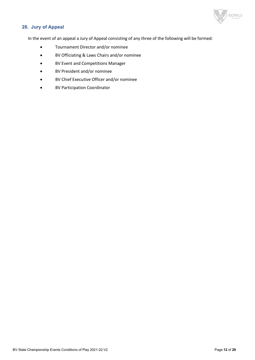

# **28. Jury of Appeal**

In the event of an appeal a Jury of Appeal consisting of any three of the following will be formed:

- Tournament Director and/or nominee
- BV Officiating & Laws Chairs and/or nominee
- BV Event and Competitions Manager
- BV President and/or nominee
- BV Chief Executive Officer and/or nominee
- BV Participation Coordinator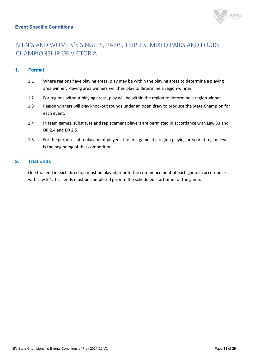# **Event Specific Conditions**



# MEN'S AND WOMEN'S SINGLES, PAIRS, TRIPLES, MIXED PAIRS AND FOURS CHAMPIONSHIP OF VICTORIA

# **1. Format**

- 1.1 Where regions have playing areas, play may be within the playing areas to determine a playing area winner. Playing area winners will then play to determine a region winner.
- 1.2 For regions without playing areas, play will be within the region to determine a regionwinner.
- 1.3 Region winners will play knockout rounds under an open draw to produce the State Champion for each event.
- 1.4 In team games, substitute and replacement players are permitted in accordance with Law 33 and DR 2.4 and DR 2.5.
- 1.5 For the purposes of replacement players, the first game at a region playing area or at region level is the beginning of that competition.

# **2. Trial Ends**

One trial end in each direction must be played prior to the commencement of each game in accordance with Law 5.1. Trial ends must be completed prior to the scheduled start time for the game.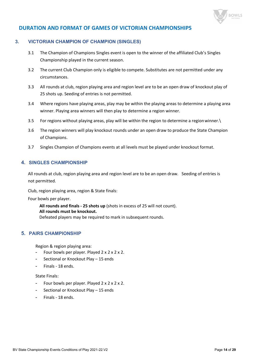

# **DURATION AND FORMAT OF GAMES OF VICTORIAN CHAMPIONSHIPS**

# **3. VICTORIAN CHAMPION OF CHAMPION (SINGLES)**

- 3.1 The Champion of Champions Singles event is open to the winner of the affiliated Club's Singles Championship played in the current season.
- 3.2 The current Club Champion only is eligible to compete. Substitutes are not permitted under any circumstances.
- 3.3 All rounds at club, region playing area and region level are to be an open draw of knockout play of 25 shots up. Seeding of entries is not permitted.
- 3.4 Where regions have playing areas, play may be within the playing areas to determine a playing area winner. Playing area winners will then play to determine a region winner.
- 3.5 For regions without playing areas, play will be within the region to determine a regionwinner.\
- 3.6 The region winners will play knockout rounds under an open draw to produce the State Champion of Champions.
- 3.7 Singles Champion of Champions events at all levels must be played under knockout format.

# **4. SINGLES CHAMPIONSHIP**

All rounds at club, region playing area and region level are to be an open draw. Seeding of entries is not permitted.

Club, region playing area, region & State finals:

Four bowls per player.

**All rounds and finals - 25 shots up** (shots in excess of 25 will not count). **All rounds must be knockout.** Defeated players may be required to mark in subsequent rounds.

# **5. PAIRS CHAMPIONSHIP**

Region & region playing area:

- Four bowls per player. Played  $2 \times 2 \times 2 \times 2$ .
- Sectional or Knockout Play 15 ends
- Finals 18 ends.

#### State Finals:

- Four bowls per player. Played  $2 \times 2 \times 2 \times 2$ .
- Sectional or Knockout Play 15 ends
- Finals 18 ends.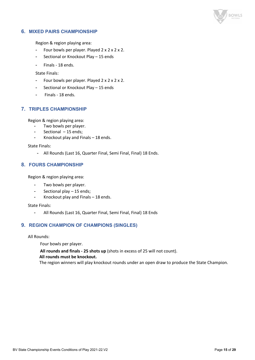

# **6. MIXED PAIRS CHAMPIONSHIP**

Region & region playing area:

- Four bowls per player. Played  $2 \times 2 \times 2 \times 2$ .
- Sectional or Knockout Play 15 ends
- Finals 18 ends.

State Finals:

- Four bowls per player. Played 2 x 2 x 2 x 2.
- Sectional or Knockout Play 15 ends
- Finals 18 ends.

# **7. TRIPLES CHAMPIONSHIP**

Region & region playing area:

- Two bowls per player.
- Sectional 15 ends;
- Knockout play and Finals 18 ends.

State Finals:

- All Rounds (Last 16, Quarter Final, Semi Final, Final) 18 Ends.

# **8. FOURS CHAMPIONSHIP**

Region & region playing area:

- Two bowls per player.
- Sectional play 15 ends;
- Knockout play and Finals  $-$  18 ends.

State Finals:

- All Rounds (Last 16, Quarter Final, Semi Final, Final) 18 Ends

# **9. REGION CHAMPION OF CHAMPIONS (SINGLES)**

All Rounds:

Four bowls per player.

**All rounds and finals - 25 shots up** (shots in excess of 25 will not count).

#### **All rounds must be knockout.**

The region winners will play knockout rounds under an open draw to produce the State Champion.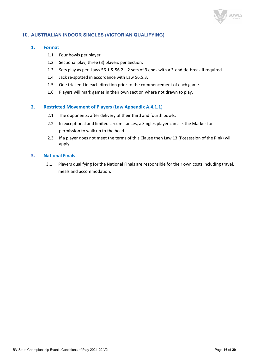

# **10. AUSTRALIAN INDOOR SINGLES (VICTORIAN QUALIFYING)**

#### **1. Format**

- 1.1 Four bowls per player.
- 1.2 Sectional play, three (3) players per Section.
- 1.3 Sets play as per Laws 56.1 & 56.2 2 sets of 9 ends with a 3-end tie-break if required
- 1.4 Jack re-spotted in accordance with Law 56.5.3.
- 1.5 One trial end in each direction prior to the commencement of each game.
- 1.6 Players will mark games in their own section where not drawn to play.

# **2. Restricted Movement of Players (Law Appendix A.4.1.1)**

- 2.1 The opponents: after delivery of their third and fourth bowls.
- 2.2 In exceptional and limited circumstances, a Singles player can ask the Marker for permission to walk up to the head.
- 2.3 If a player does not meet the terms of this Clause then Law 13 (Possession of the Rink) will apply.

#### **3. National Finals**

3.1 Players qualifying for the National Finals are responsible for their own costs including travel, meals and accommodation.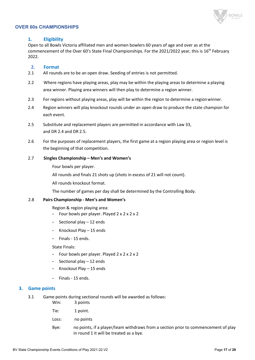

#### **OVER 60s CHAMPIONSHIPS**

#### **1. Eligibility**

Open to all Bowls Victoria affiliated men and women bowlers 60 years of age and over as at the commencement of the Over 60's State Final Championships. For the 2021/2022 year, this is 16<sup>th</sup> February 2022.

#### **2. Format**

- 2.1 All rounds are to be an open draw. Seeding of entries is not permitted.
- 2.2 Where regions have playing areas, play may be within the playing areas to determine a playing area winner. Playing area winners will then play to determine a region winner.
- 2.3 For regions without playing areas, play will be within the region to determine a regionwinner.
- 2.4 Region winners will play knockout rounds under an open draw to produce the state champion for each event.
- 2.5 Substitute and replacement players are permitted in accordance with Law 33, and DR 2.4 and DR 2.5.
- 2.6 For the purposes of replacement players, the first game at a region playing area or region level is the beginning of that competition.

#### 2.7 **Singles Championship – Men's and Women's**

Four bowls per player.

All rounds and finals 21 shots up (shots in excess of 21 will not count).

All rounds knockout format.

The number of games per day shall be determined by the Controlling Body.

#### 2.8 **Pairs Championship - Men's and Women's**

Region & region playing area:

- Four bowls per player. Played 2 x 2 x 2 x 2
- Sectional play 12 ends
- Knockout Play 15 ends
- Finals 15 ends.

State Finals:

- Four bowls per player. Played 2 x 2 x 2 x 2
- Sectional play 12 ends
- Knockout Play 15 ends
- Finals 15 ends.

#### **3. Game points**

- 3.1 Game points during sectional rounds will be awarded as follows:
	- Win: 3 points
	- Tie: 1 point.
	- Loss: no points
	- Bye: no points, if a player/team withdraws from a section prior to commencement of play in round 1 it will be treated as a bye.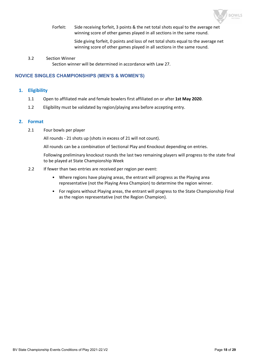

Forfeit: Side receiving forfeit, 3 points & the net total shots equal to the average net winning score of other games played in all sections in the same round.

> Side giving forfeit, 0 points and loss of net total shots equal to the average net winning score of other games played in all sections in the same round.

#### 3.2 Section Winner

Section winner will be determined in accordance with Law 27.

#### **NOVICE SINGLES CHAMPIONSHIPS (MEN'S & WOMEN'S)**

#### **1. Eligibility**

- 1.1 Open to affiliated male and female bowlers first affiliated on or after **1st May 2020**.
- 1.2 Eligibility must be validated by region/playing area before accepting entry.

#### **2. Format**

2.1 Four bowls per player

All rounds - 21 shots up (shots in excess of 21 will not count).

All rounds can be a combination of Sectional Play and Knockout depending on entries.

Following preliminary knockout rounds the last two remaining players will progress to the state final to be played at State Championship Week

- 2.2 If fewer than two entries are received per region per event:
	- Where regions have playing areas, the entrant will progress as the Playing area representative (not the Playing Area Champion) to determine the region winner.
	- For regions without Playing areas, the entrant will progress to the State Championship Final as the region representative (not the Region Champion).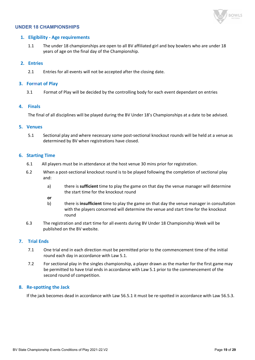

#### **UNDER 18 CHAMPIONSHIPS**

#### **1. Eligibility - Age requirements**

1.1 The under 18 championships are open to all BV affiliated girl and boy bowlers who are under 18 years of age on the final day of the Championship.

#### **2. Entries**

2.1 Entries for all events will not be accepted after the closing date.

#### **3. Format of Play**

3.1 Format of Play will be decided by the controlling body for each event dependant on entries

#### **4. Finals**

The final of all disciplines will be played during the BV Under 18's Championships at a date to be advised.

#### **5. Venues**

5.1 Sectional play and where necessary some post-sectional knockout rounds will be held at a venue as determined by BV when registrations have closed.

#### **6. Starting Time**

- 6.1 All players must be in attendance at the host venue 30 mins prior for registration.
- 6.2 When a post-sectional knockout round is to be played following the completion of sectional play and:
	- a) there is **sufficient** time to play the game on that day the venue manager will determine the start time for the knockout round
	- **or**
	- b) there is **insufficient** time to play the game on that day the venue manager in consultation with the players concerned will determine the venue and start time for the knockout round
- 6.3 The registration and start time for all events during BV Under 18 Championship Week will be published on the BV website.

#### **7. Trial Ends**

- 7.1 One trial end in each direction must be permitted prior to the commencement time of the initial round each day in accordance with Law 5.1.
- 7.2 For sectional play in the singles championship, a player drawn as the marker for the first game may be permitted to have trial ends in accordance with Law 5.1 prior to the commencement of the second round of competition.

#### **8. Re-spotting the Jack**

If the jack becomes dead in accordance with Law 56.5.1 it must be re-spotted in accordance with Law 56.5.3.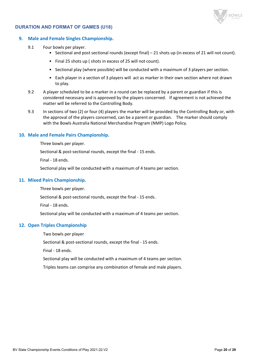

#### **DURATION AND FORMAT OF GAMES (U18)**

#### **9. Male and Female Singles Championship.**

- 9.1 Four bowls per player.
	- Sectional and post sectional rounds (except final) 21 shots up (in excess of 21 will not count).
	- Final 25 shots up ( shots in excess of 25 will not count).
	- Sectional play (where possible) will be conducted with a maximum of 3 players per section.
	- Each player in a section of 3 players will act as marker in their own section where not drawn to play.
- 9.2 A player scheduled to be a marker in a round can be replaced by a parent or guardian if this is considered necessary and is approved by the players concerned. If agreement is not achieved the matter will be referred to the Controlling Body.
- 9.3 In sections of two (2) or four (4) players the marker will be provided by the Controlling Body or, with the approval of the players concerned, can be a parent or guardian. The marker should comply with the Bowls Australia National Merchandise Program (NMP) Logo Policy.

#### **10. Male and Female Pairs Championship.**

Three bowls per player.

Sectional & post-sectional rounds, except the final - 15 ends.

Final - 18 ends.

Sectional play will be conducted with a maximum of 4 teams per section.

#### **11. Mixed Pairs Championship.**

Three bowls per player.

Sectional & post-sectional rounds, except the final - 15 ends.

Final - 18 ends.

Sectional play will be conducted with a maximum of 4 teams per section.

#### **12. Open Triples Championship**

Two bowls per player

Sectional & post-sectional rounds, except the final - 15 ends.

Final - 18 ends.

Sectional play will be conducted with a maximum of 4 teams per section.

Triples teams can comprise any combination of female and male players.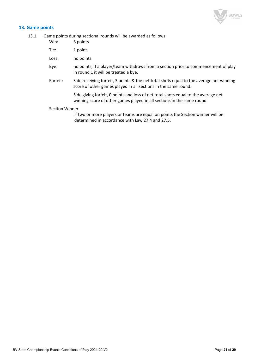

# **13. Game points**

13.1 Game points during sectional rounds will be awarded as follows:

| Win:     | 3 points                                                                                                                                                     |
|----------|--------------------------------------------------------------------------------------------------------------------------------------------------------------|
| Tie:     | 1 point.                                                                                                                                                     |
| Loss:    | no points                                                                                                                                                    |
| Bye:     | no points, if a player/team withdraws from a section prior to commencement of play<br>in round 1 it will be treated a bye.                                   |
| Forfeit: | Side receiving forfeit, 3 points & the net total shots equal to the average net winning<br>score of other games played in all sections in the same round.    |
|          | Side giving forfeit, 0 points and loss of net total shots equal to the average net<br>winning score of other games played in all sections in the same round. |

#### Section Winner

If two or more players or teams are equal on points the Section winner will be determined in accordance with Law 27.4 and 27.5.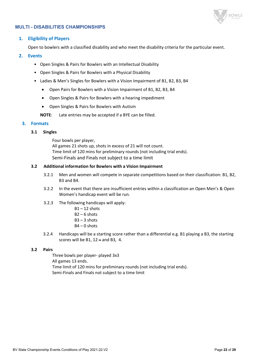

### **MULTI - DISABILITIES CHAMPIONSHIPS**

#### **1. Eligibility of Players**

Open to bowlers with a classified disability and who meet the disability criteria for the particular event.

#### **2. Events**

- Open Singles & Pairs for Bowlers with an Intellectual Disability
- Open Singles & Pairs for Bowlers with a Physical Disability
- Ladies & Men's Singles for Bowlers with a Vision Impairment of B1, B2, B3, B4
	- Open Pairs for Bowlers with a Vision Impairment of B1, B2, B3, B4
	- Open Singles & Pairs for Bowlers with a hearing impediment
	- Open Singles & Pairs for Bowlers with Autism
	- **NOTE**: Late entries may be accepted if a BYE can be filled.

#### **3. Formats**

#### **3.1 Singles**

Four bowls per player, All games 21 shots up, shots in excess of 21 will not count. Time limit of 120 mins for preliminary rounds (not including trial ends). Semi-Finals and Finals not subject to a time limit

#### **3.2 Additional information for Bowlers with a Vision Impairment**

- 3.2.1 Men and women will compete in separate competitions based on their classification: B1, B2, B3 and B4.
- 3.2.2 In the event that there are insufficient entries within a classification an Open Men's & Open Women's handicap event will be run.
- 3.2.3 The following handicaps will apply:
	- $B1 12$  shots
	- $B2 6$  shots
	- $B3 3$  shots
	- $B4 0$  shots
- 3.2.4 Handicaps will be a starting score rather than a differential e.g. B1 playing a B3, the starting scores will be B1, 12 – and B3, 4.

#### **3.2 Pairs**

Three bowls per player- played 3x3 All games 13 ends. Time limit of 120 mins for preliminary rounds (not including trial ends). Semi-Finals and Finals not subject to a time limit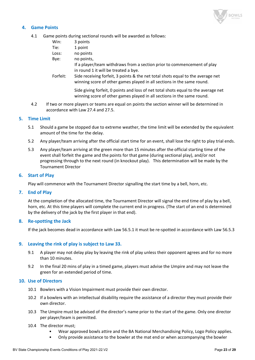

# **4. Game Points**

4.1 Game points during sectional rounds will be awarded as follows:

| Win:     | 3 points                                                                                                                                                     |
|----------|--------------------------------------------------------------------------------------------------------------------------------------------------------------|
| Tie:     | 1 point                                                                                                                                                      |
| Loss:    | no points                                                                                                                                                    |
| Bye:     | no points,                                                                                                                                                   |
|          | If a player/team withdraws from a section prior to commencement of play                                                                                      |
|          | in round 1 it will be treated a bye.                                                                                                                         |
| Forfeit: | Side receiving forfeit, 3 points & the net total shots equal to the average net<br>winning score of other games played in all sections in the same round.    |
|          | Side giving forfeit, 0 points and loss of net total shots equal to the average net<br>winning score of other games played in all sections in the same round. |
|          |                                                                                                                                                              |

4.2 If two or more players or teams are equal on points the section winner will be determined in accordance with Law 27.4 and 27.5.

#### **5. Time Limit**

- 5.1 Should a game be stopped due to extreme weather, the time limit will be extended by the equivalent amount of the time for the delay.
- 5.2 Any player/team arriving after the official start time for an event, shall lose the right to play trial ends.
- 5.3 Any player/team arriving at the green more than 15 minutes after the official starting time of the event shall forfeit the game and the points for that game (during sectional play), and/or not progressing through to the next round (in knockout play). This determination will be made by the Tournament Director

#### **6. Start of Play**

Play will commence with the Tournament Director signalling the start time by a bell, horn, etc.

#### **7. End of Play**

At the completion of the allocated time, the Tournament Director will signal the end time of play by a bell, horn, etc. At this time players will complete the current end in progress. (The start of an end is determined by the delivery of the jack by the first player in that end).

#### **8. Re-spotting the Jack**

If the jack becomes dead in accordance with Law 56.5.1 it must be re-spotted in accordance with Law 56.5.3

#### **9. Leaving the rink of play is subject to Law 33.**

- 9.1 A player may not delay play by leaving the rink of play unless their opponent agrees and for no more than 10 minutes.
- 9.2 In the final 20 mins of play in a timed game, players must advise the Umpire and may not leave the green for an extended period of time.

#### **10. Use of Directors**

- 10.1 Bowlers with a Vision Impairment must provide their own director.
- 10.2 If a bowlers with an intellectual disability require the assistance of a director they must provide their own director.
- 10.3 The Umpire must be advised of the director's name prior to the start of the game. Only one director per player/team is permitted.
- 10.4 The director must;
	- Wear approved bowls attire and the BA National Merchandising Policy, Logo Policy applies.
	- Only provide assistance to the bowler at the mat end or when accompanying the bowler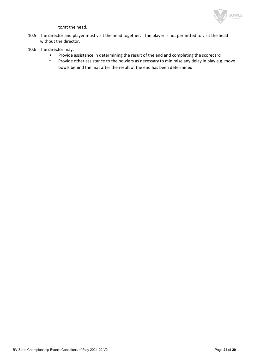

to/at the head.

- 10.5 The director and player must visit the head together. The player is not permitted to visit the head without the director.
- 10.6 The director may:
	- Provide assistance in determining the result of the end and completing the scorecard
	- Provide other assistance to the bowlers as necessary to minimise any delay in play e.g. move bowls behind the mat after the result of the end has been determined.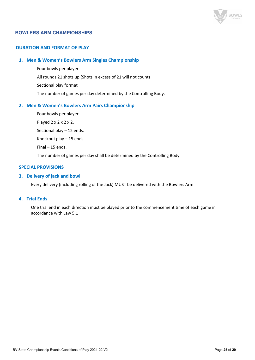

# **BOWLERS ARM CHAMPIONSHIPS**

#### **DURATION AND FORMAT OF PLAY**

#### **1. Men & Women's Bowlers Arm Singles Championship**

Four bowls per player All rounds 21 shots up (Shots in excess of 21 will not count) Sectional play format The number of games per day determined by the Controlling Body.

#### **2. Men & Women's Bowlers Arm Pairs Championship**

Four bowls per player.

Played 2 x 2 x 2 x 2.

Sectional play – 12 ends.

Knockout play – 15 ends.

Final – 15 ends.

The number of games per day shall be determined by the Controlling Body.

#### **SPECIAL PROVISIONS**

#### **3. Delivery of jack and bowl**

Every delivery (including rolling of the Jack) MUST be delivered with the Bowlers Arm

#### **4. Trial Ends**

One trial end in each direction must be played prior to the commencement time of each game in accordance with Law 5.1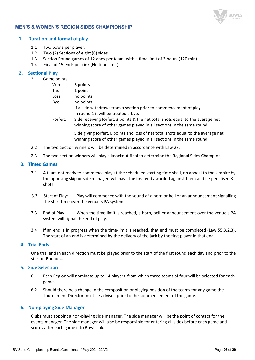

### **MEN'S & WOMEN'S REGION SIDES CHAMPIONSHIP**

#### **1. Duration and format of play**

- 1.1 Two bowls per player.
- 1.2 Two (2) Sections of eight (8) sides
- 1.3 Section Round games of 12 ends per team, with a time limit of 2 hours (120 min)
- 1.4 Final of 15 ends per rink (No time limit)

#### **2. Sectional Play**

2.1 Game points:

| Win:     | 3 points                                                                                                                                                  |
|----------|-----------------------------------------------------------------------------------------------------------------------------------------------------------|
| Tie:     | 1 point                                                                                                                                                   |
| Loss:    | no points                                                                                                                                                 |
| Bye:     | no points,                                                                                                                                                |
|          | If a side withdraws from a section prior to commencement of play                                                                                          |
|          | in round 1 it will be treated a bye.                                                                                                                      |
| Forfeit: | Side receiving forfeit, 3 points & the net total shots equal to the average net<br>winning score of other games played in all sections in the same round. |
|          |                                                                                                                                                           |

Side giving forfeit, 0 points and loss of net total shots equal to the average net winning score of other games played in all sections in the same round.

- 2.2 The two Section winners will be determined in accordance with Law 27.
- 2.3 The two section winners will play a knockout final to determine the Regional Sides Champion.

#### **3. Timed Games**

- 3.1 A team not ready to commence play at the scheduled starting time shall, on appeal to the Umpire by the opposing skip or side manager, will have the first end awarded against them and be penalised 8 shots.
- 3.2 Start of Play: Play will commence with the sound of a horn or bell or an announcement signalling the start time over the venue's PA system.
- 3.3 End of Play: When the time limit is reached, a horn, bell or announcement over the venue's PA system will signal the end of play.
- 3.4 If an end is in progress when the time-limit is reached, that end must be completed (Law 55.3.2.3). The start of an end is determined by the delivery of the jack by the first player in that end.

#### **4. Trial Ends**

One trial end in each direction must be played prior to the start of the first round each day and prior to the start of Round 4.

# **5. Side Selection**

- 6.1 Each Region will nominate up to 14 players from which three teams of four will be selected for each game.
- 6.2 Should there be a change in the composition or playing position of the teams for any game the Tournament Director must be advised prior to the commencement of the game.

#### **6. Non-playing Side Manager**

Clubs must appoint a non-playing side manager. The side manager will be the point of contact for the events manager. The side manager will also be responsible for entering all sides before each game and scores after each game into Bowlslink.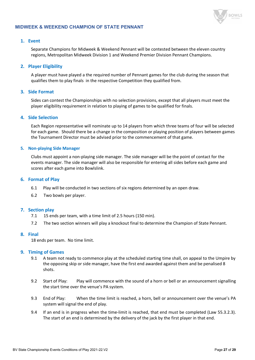

#### **MIDWEEK & WEEKEND CHAMPION OF STATE PENNANT**

#### **1. Event**

Separate Champions for Midweek & Weekend Pennant will be contested between the eleven country regions, Metropolitan Midweek Division 1 and Weekend Premier Division Pennant Champions.

#### **2. Player Eligibility**

A player must have played a the required number of Pennant games for the club during the season that qualifies them to play finals in the respective Competition they qualified from.

# **3. Side Format**

Sides can contest the Championships with no selection provisions, except that all players must meet the player eligibility requirement in relation to playing of games to be qualified for finals.

#### **4. Side Selection**

Each Region representative will nominate up to 14 players from which three teams of four will be selected for each game. Should there be a change in the composition or playing position of players between games the Tournament Director must be advised prior to the commencement of that game.

#### **5. Non-playing Side Manager**

Clubs must appoint a non-playing side manager. The side manager will be the point of contact for the events manager. The side manager will also be responsible for entering all sides before each game and scores after each game into Bowlslink.

#### **6. Format of Play**

- 6.1 Play will be conducted in two sections of six regions determined by an open draw.
- 6.2 Two bowls per player.

#### **7. Section play**

- 7.1 15 ends per team, with a time limit of 2.5 hours (150 min).
- 7.2 The two section winners will play a knockout final to determine the Champion of State Pennant.

#### **8. Final**

18 ends per team. No time limit.

#### **9. Timing of Games**

- 9.1 A team not ready to commence play at the scheduled starting time shall, on appeal to the Umpire by the opposing skip or side manager, have the first end awarded against them and be penalised 8 shots.
- 9.2 Start of Play: Play will commence with the sound of a horn or bell or an announcement signalling the start time over the venue's PA system.
- 9.3 End of Play: When the time limit is reached, a horn, bell or announcement over the venue's PA system will signal the end of play.
- 9.4 If an end is in progress when the time-limit is reached, that end must be completed (Law 55.3.2.3). The start of an end is determined by the delivery of the jack by the first player in that end.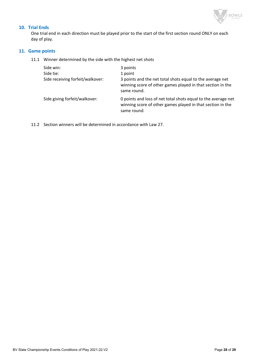

# **10. Trial Ends**

One trial end in each direction must be played prior to the start of the first section round ONLY on each day of play.

#### **11. Game points**

11.1 Winner determined by the side with the highest net shots

| Side win:<br>Side tie:           | 3 points<br>1 point                                                                                                                        |
|----------------------------------|--------------------------------------------------------------------------------------------------------------------------------------------|
| Side receiving forfeit/walkover: | 3 points and the net total shots equal to the average net<br>winning score of other games played in that section in the<br>same round.     |
| Side giving forfeit/walkover:    | 0 points and loss of net total shots equal to the average net<br>winning score of other games played in that section in the<br>same round. |

11.2 Section winners will be determined in accordance with Law 27.